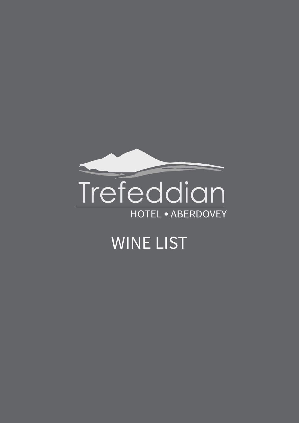

# **WINE LIST**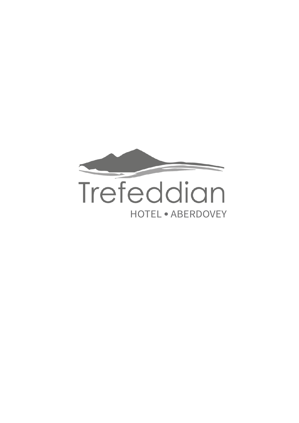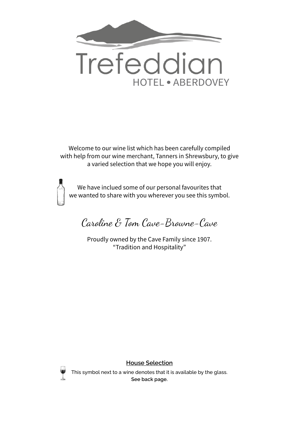

Welcome to our wine list which has been carefully compiled with help from our wine merchant, Tanners in Shrewsbury, to give a varied selection that we hope you will enjoy.



We have inclued some of our personal favourites that we wanted to share with you wherever you see this symbol.

Caroline & Tom Cave-Browne-Cave

Proudly owned by the Cave Family since 1907. "Tradition and Hospitality"



**House Selection**

This symbol next to a wine denotes that it is available by the glass. **See back page.**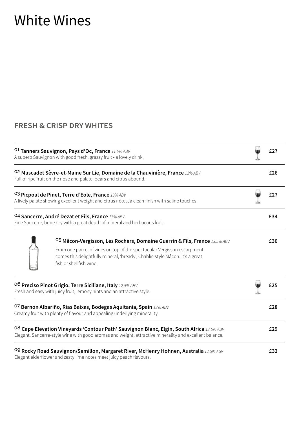### White Wines

#### **FRESH & CRISP DRY WHITES**

| <sup>01</sup> Tanners Sauvignon, Pays d'Oc, France 11.5% ABV<br>A superb Sauvignon with good fresh, grassy fruit - a lovely drink. |                                                                                                                                                                                                                                                                 |  | £27 |
|------------------------------------------------------------------------------------------------------------------------------------|-----------------------------------------------------------------------------------------------------------------------------------------------------------------------------------------------------------------------------------------------------------------|--|-----|
|                                                                                                                                    | 02 Muscadet Sèvre-et-Maine Sur Lie, Domaine de la Chauvinière, France 12% ABV<br>Full of ripe fruit on the nose and palate, pears and citrus abound.                                                                                                            |  | £26 |
|                                                                                                                                    | <sup>03</sup> Picpoul de Pinet, Terre d'Eole, France 13% ABV<br>A lively palate showing excellent weight and citrus notes, a clean finish with saline touches.                                                                                                  |  | £27 |
|                                                                                                                                    | 04 Sancerre, André Dezat et Fils, France 13% ABV<br>Fine Sancerre, bone dry with a great depth of mineral and herbacous fruit.                                                                                                                                  |  | £34 |
|                                                                                                                                    | 05 Mâcon-Vergisson, Les Rochers, Domaine Guerrin & Fils, France 13.5% ABV<br>From one parcel of vines on top of the spectacular Vergisson escarpment<br>comes this delightfully mineral, 'bready', Chablis-style Mâcon. It's a great<br>fish or shellfish wine. |  | £30 |
|                                                                                                                                    | 06 Preciso Pinot Grigio, Terre Siciliane, Italy 12.5% ABV<br>Fresh and easy with juicy fruit, lemony hints and an attractive style.                                                                                                                             |  | £25 |
|                                                                                                                                    | <sup>07</sup> Bernon Albariño, Rias Baixas, Bodegas Aquitania, Spain 13% ABV<br>Creamy fruit with plenty of flavour and appealing underlying minerality.                                                                                                        |  | £28 |
|                                                                                                                                    | <sup>08</sup> Cape Elevation Vineyards 'Contour Path' Sauvignon Blanc, Elgin, South Africa 13.5% ABV<br>Elegant, Sancerre-style wine with good aromas and weight, attractive minerality and excellent balance.                                                  |  | £29 |
|                                                                                                                                    | <sup>O9</sup> Rocky Road Sauvignon/Semillon, Margaret River, McHenry Hohnen, Australia 12.5% ABV<br>Elegant elderflower and zesty lime notes meet juicy peach flavours.                                                                                         |  | £32 |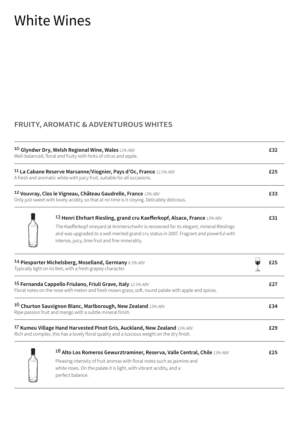### White Wines

#### **FRUITY, AROMATIC & ADVENTUROUS WHITES**

| <sup>10</sup> Glyndwr Dry, Welsh Regional Wine, Wales $11\%$ ABV<br>Well-balanced, floral and fruity with hints of citrus and apple. |                                                                                                                                                                                                                                                                                                                   | £32 |     |
|--------------------------------------------------------------------------------------------------------------------------------------|-------------------------------------------------------------------------------------------------------------------------------------------------------------------------------------------------------------------------------------------------------------------------------------------------------------------|-----|-----|
|                                                                                                                                      | 11 La Cabane Reserve Marsanne/Viognier, Pays d'Oc, France 12.5% ABV<br>A fresh and aromatic white with juicy fruit, suitable for all occasions.                                                                                                                                                                   |     | £25 |
|                                                                                                                                      | 12 Vouvray, Clos le Vigneau, Château Gaudrelle, France 13% ABV<br>Only just sweet with lovely acidity, so that at no time is it cloying. Delicately delicious.                                                                                                                                                    |     | £33 |
|                                                                                                                                      | 13 Henri Ehrhart Riesling, grand cru Kaefferkopf, Alsace, France 13% ABV<br>The Kaefferkopf vineyard at Ammerschwihr is renowned for its elegant, mineral Rieslings<br>and was upgraded to a well merited grand cru status in 2007. Fragrant and powerful with<br>intense, juicy, lime fruit and fine minerality. |     | £31 |
|                                                                                                                                      | 14 Piesporter Michelsberg, Moselland, Germany 8.5% ABV<br>Typically light on its feet, with a fresh grapey character.                                                                                                                                                                                             |     | £25 |
|                                                                                                                                      | <sup>15</sup> Fernanda Cappello Friulano, Friuli Grave, Italy 12.5% ABV<br>Floral notes on the nose with melon and fresh mown grass; soft, round palate with apple and spices.                                                                                                                                    |     | £27 |
|                                                                                                                                      | 16 Churton Sauvignon Blanc, Marlborough, New Zealand $13\%$ ABV<br>Ripe passion fruit and mango with a subtle mineral finish.                                                                                                                                                                                     |     | £34 |
|                                                                                                                                      | <sup>17</sup> Kumeu Village Hand Harvested Pinot Gris, Auckland, New Zealand 13% ABV<br>Rich and complex, this has a lovely floral quality and a luscious weight on the dry finish.                                                                                                                               |     | £29 |
|                                                                                                                                      | 18 Alto Los Romeros Gewurztraminer, Reserva, Valle Central, Chile 13% ABV<br>Pleasing intensity of fruit aromas with floral notes such as jasmine and<br>white roses. On the palate it is light, with vibrant acidity, and a<br>perfect balance.                                                                  |     | £25 |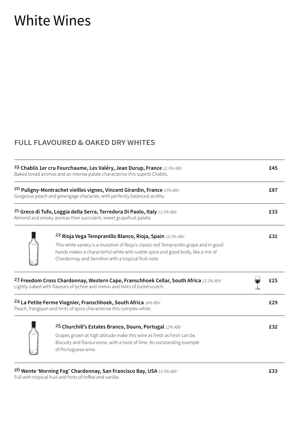### White Wines

#### **FULL FLAVOURED & OAKED DRY WHITES**

| <sup>19</sup> Chablis 1er cru Fourchaume, Les Valéry, Jean Durup, France 12.5% ABV<br>Baked bread aromas and an intense palate characterise this superb Chablis. |                                                                                                                                                                                                                                                                                             | £45 |
|------------------------------------------------------------------------------------------------------------------------------------------------------------------|---------------------------------------------------------------------------------------------------------------------------------------------------------------------------------------------------------------------------------------------------------------------------------------------|-----|
|                                                                                                                                                                  | 20 Puligny-Montrachet vieilles vignes, Vincent Girardin, France 13% ABV<br>Gorgeous peach and greengage character, with perfectly balanced acidity.                                                                                                                                         | £87 |
| <sup>21</sup> Greco di Tufo, Loggia della Serra, Terredora Di Paolo, Italy 12.5% ABV<br>Almond and smoky aromas then succulent, sweet grapefruit palate.         |                                                                                                                                                                                                                                                                                             | £33 |
|                                                                                                                                                                  | 22 Rioja Vega Tempranillo Blanco, Rioja, Spain 13.5% ABV<br>This white variety is a mutation of Rioja's classic red Tempranillo grape and in good<br>hands makes a characterful white with subtle spice and good body, like a mix of<br>Chardonnay and Semillon with a tropical fruit note. | £31 |
|                                                                                                                                                                  | <sup>23</sup> Freedom Cross Chardonnay, Western Cape, Franschhoek Cellar, South Africa 13.5% ABV<br>Lightly oaked with flavours of lychee and melon and hints of butterscotch.                                                                                                              | £25 |
|                                                                                                                                                                  | <sup>24</sup> La Petite Ferme Viognier, Franschhoek, South Africa 14% ABV<br>Peach, frangipan and hints of spice characterise this complex white.                                                                                                                                           | £29 |
|                                                                                                                                                                  | 25 Churchill's Estates Branco, Douro, Portugal 12% ABV<br>Grapes grown at high altitude make this wine as fresh as fresh can be.<br>Biscuity and flavoursome, with a twist of lime. An outstanding example<br>of Portuguese wine.                                                           | £32 |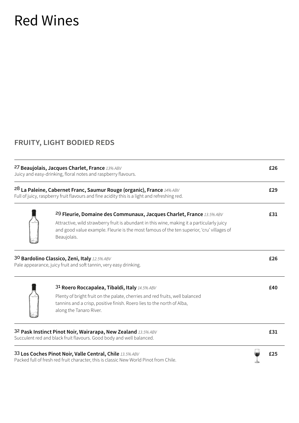### Red Wines

#### **FRUITY, LIGHT BODIED REDS**

| 27 Beaujolais, Jacques Charlet, France 13% ABV<br>Juicy and easy-drinking, floral notes and raspberry flavours.                                                                                        | £26 |
|--------------------------------------------------------------------------------------------------------------------------------------------------------------------------------------------------------|-----|
| 28 La Paleine, Cabernet Franc, Saumur Rouge (organic), France 14% ABV<br>Full of juicy, raspberry fruit flavours and fine acidity this is a light and refreshing red.                                  | £29 |
| <sup>29</sup> Fleurie, Domaine des Communaux, Jacques Charlet, France 13.5% ABV                                                                                                                        | £31 |
| Attractive, wild strawberry fruit is abundant in this wine, making it a particularly juicy<br>and good value example. Fleurie is the most famous of the ten superior, 'cru' villages of<br>Beaujolais. |     |
| 30 Bardolino Classico, Zeni, Italy 12.5% ABV<br>Pale appearance, juicy fruit and soft tannin, very easy drinking.                                                                                      | £26 |
| 31 Roero Roccapalea, Tibaldi, Italy 14.5% ABV                                                                                                                                                          | £40 |
| Plenty of bright fruit on the palate, cherries and red fruits, well balanced<br>tannins and a crisp, positive finish. Roero lies to the north of Alba,<br>along the Tanaro River.                      |     |
| 32 Pask Instinct Pinot Noir, Wairarapa, New Zealand 13.5% ABV<br>Succulent red and black fruit flavours. Good body and well balanced.                                                                  | £31 |
| 33 Los Coches Pinot Noir, Valle Central, Chile 13.5% ABV<br>Packed full of fresh red fruit character, this is classic New World Pinot from Chile.                                                      | £25 |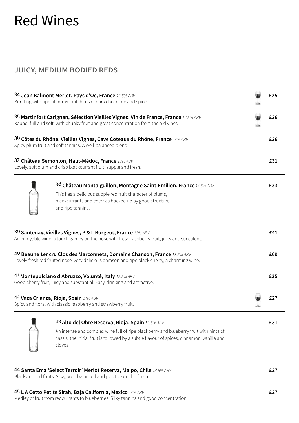### Red Wines

#### **JUICY, MEDIUM BODIED REDS**

| 34 Jean Balmont Merlot, Pays d'Oc, France 13.5% ABV<br>Bursting with ripe plummy fruit, hints of dark chocolate and spice. |                                                                                                                                                                                                                                                    | £25 |
|----------------------------------------------------------------------------------------------------------------------------|----------------------------------------------------------------------------------------------------------------------------------------------------------------------------------------------------------------------------------------------------|-----|
|                                                                                                                            | 35 Martinfort Carignan, Sélection Vieilles Vignes, Vin de France, France 12.5% ABV<br>Round, full and soft, with chunky fruit and great concentration from the old vines.                                                                          | £26 |
|                                                                                                                            | $36$ Côtes du Rhône, Vieilles Vignes, Cave Coteaux du Rhône, France 14% ABV<br>Spicy plum fruit and soft tannins. A well-balanced blend.                                                                                                           | £26 |
| 37 Château Semonlon, Haut-Médoc, France 13% ABV<br>Lovely, soft plum and crisp blackcurrant fruit, supple and fresh.       |                                                                                                                                                                                                                                                    | £31 |
|                                                                                                                            | 38 Château Montaiguillon, Montagne Saint-Emilion, France 14.5% ABV<br>This has a delicious supple red fruit character of plums,<br>blackcurrants and cherries backed up by good structure<br>and ripe tannins.                                     | £33 |
|                                                                                                                            | 39 Santenay, Vieilles Vignes, P & L Borgeot, France 13% ABV<br>An enjoyable wine, a touch gamey on the nose with fresh raspberry fruit, juicy and succulent.                                                                                       | £41 |
|                                                                                                                            | 40 Beaune 1er cru Clos des Marconnets, Domaine Chanson, France 13.5% ABV<br>Lovely fresh red fruited nose, very delicious damson and ripe black cherry, a charming wine.                                                                           | £69 |
|                                                                                                                            | 41 Montepulciano d'Abruzzo, Voluntè, Italy 12.5% ABV<br>Good cherry fruit, juicy and substantial. Easy-drinking and attractive.                                                                                                                    | £25 |
| 42 Vaza Crianza, Rioja, Spain 14% ABV<br>Spicy and floral with classic raspberry and strawberry fruit.                     |                                                                                                                                                                                                                                                    | £27 |
|                                                                                                                            | 43 Alto del Obre Reserva, Rioja, Spain 13.5% ABV<br>An intense and complex wine full of ripe blackberry and blueberry fruit with hints of<br>cassis, the initial fruit is followed by a subtle flavour of spices, cinnamon, vanilla and<br>cloves. | £31 |
|                                                                                                                            | 44 Santa Ema 'Select Terroir' Merlot Reserva, Maipo, Chile 13.5% ABV<br>Black and red fruits. Silky, well-balanced and positive on the finish.                                                                                                     | £27 |

#### 45 **L A Cetto Petite Sirah, Baja California, Mexico** *14% ABV* **£27**

Medley of fruit from redcurrants to blueberries. Silky tannins and good concentration.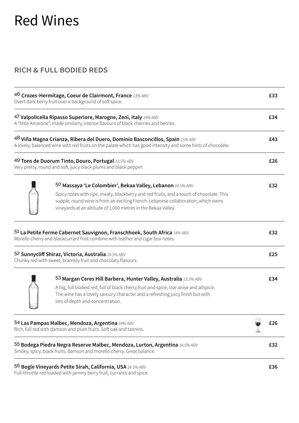### Red Wines

#### **RICH & FULL BODIED REDS**

| 46 Crozes-Hermitage, Coeur de Clairmont, France 13% ABV<br>Overt dark berry fruit over a background of soft spice. |                                                                                                                                                                                                                                                                                                            | £33 |     |
|--------------------------------------------------------------------------------------------------------------------|------------------------------------------------------------------------------------------------------------------------------------------------------------------------------------------------------------------------------------------------------------------------------------------------------------|-----|-----|
|                                                                                                                    | 47 Valpolicella Ripasso Superiore, Marogne, Zeni, Italy 14% ABV<br>A "little Amarone", made similarly, intense flavours of black cherries and berries.                                                                                                                                                     |     | £34 |
|                                                                                                                    | $48$ Viña Magna Crianza, Ribera del Duero, Dominio Basconcillos, Spain 15% ABV<br>A lovely, balanced wine with red fruits on the palate which has good intensity and some hints of chocolate.                                                                                                              |     | £43 |
|                                                                                                                    | 49 Tons de Duorum Tinto, Douro, Portugal 13.5% ABV<br>Very pretty, round and soft, juicy black plums and black pepper.                                                                                                                                                                                     |     | £26 |
|                                                                                                                    | 50 Massaya 'Le Colombier', Bekaa Valley, Lebanon 14.5% ABV<br>Spicy notes with ripe, meaty, blackberry and red fruits, and a touch of chocolate. This<br>supple, round wine is from an exciting French-Lebanese collaboration, which owns<br>vineyards at an altitude of 1,000 metres in the Bekaa Valley. |     | £32 |
|                                                                                                                    | 51 La Petite Ferme Cabernet Sauvignon, Franschhoek, South Africa 14% ABV<br>Morello cherry and blackcurrant fruit combine with leather and cigar box notes.                                                                                                                                                |     | £32 |
|                                                                                                                    | 52 Sunnycliff Shiraz, Victoria, Australia 14.5% ABV<br>Chunky red with sweet, brambly fruit and chocolaty flavours.                                                                                                                                                                                        |     | £25 |
|                                                                                                                    | 53 Margan Ceres Hill Barbera, Hunter Valley, Australia 13.5% ABV<br>A big, full bodied red, full of black cherry fruit and spice, star anise and allspice.<br>The wine has a lovely savoury character and a refreshing juicy finish but with<br>lots of depth and concentration.                           |     | £34 |
|                                                                                                                    | 54 Las Pampas Malbec, Mendoza, Argentina 14% ABV<br>Rich, full red with damson and plum fruits. Soft oak and tannins.                                                                                                                                                                                      |     | £26 |
|                                                                                                                    | 55 Bodega Piedra Negra Reserve Malbec, Mendoza, Lurton, Argentina 14.5% ABV<br>Smoky, spicy, black fruits, damson and morello cherry. Great balance.                                                                                                                                                       |     | £32 |
|                                                                                                                    | 5 <sup>6</sup> Bogle Vineyards Petite Sirah, California, USA 14.5% ABV                                                                                                                                                                                                                                     |     | £36 |

Full-throttle red loaded with jammy berry fruit, currants and spice.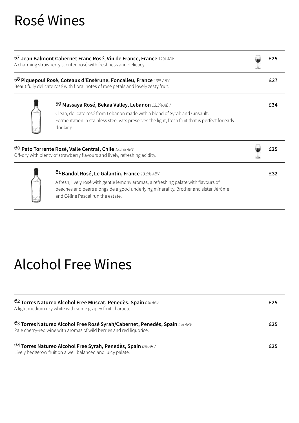## Rosé Wines

| 57 Jean Balmont Cabernet Franc Rosé, Vin de France, France 12% ABV<br>A charming strawberry scented rosé with freshness and delicacy.<br>58 Piquepoul Rosé, Coteaux d'Ensérune, Foncalieu, France 13% ABV<br>Beautifully delicate rosé with floral notes of rose petals and lovely zesty fruit. |                                                                                                                                                                                                                                                                              | £27 |
|-------------------------------------------------------------------------------------------------------------------------------------------------------------------------------------------------------------------------------------------------------------------------------------------------|------------------------------------------------------------------------------------------------------------------------------------------------------------------------------------------------------------------------------------------------------------------------------|-----|
|                                                                                                                                                                                                                                                                                                 |                                                                                                                                                                                                                                                                              |     |
|                                                                                                                                                                                                                                                                                                 | 60 Pato Torrente Rosé, Valle Central, Chile 12.5% ABV<br>Off-dry with plenty of strawberry flavours and lively, refreshing acidity.                                                                                                                                          |     |
|                                                                                                                                                                                                                                                                                                 | <sup>61</sup> Bandol Rosé, Le Galantin, France 13.5% ABV<br>A fresh, lively rosé with gentle lemony aromas, a refreshing palate with flavours of<br>peaches and pears alongside a good underlying minerality. Brother and sister Jérôme<br>and Céline Pascal run the estate. | £32 |

### Alcohol Free Wines

| <sup>62</sup> Torres Natureo Alcohol Free Muscat, Penedès, Spain 0% ABV<br>A light medium dry white with some grapey fruit character.                       | £25 |
|-------------------------------------------------------------------------------------------------------------------------------------------------------------|-----|
| <sup>63</sup> Torres Natureo Alcohol Free Rosé Syrah/Cabernet, Penedès, Spain 0% ABV<br>Pale cherry-red wine with aromas of wild berries and red liquorice. | £25 |
| <sup>64</sup> Torres Natureo Alcohol Free Syrah, Penedès, Spain 0% ABV<br>Lively hedgerow fruit on a well balanced and juicy palate.                        | £25 |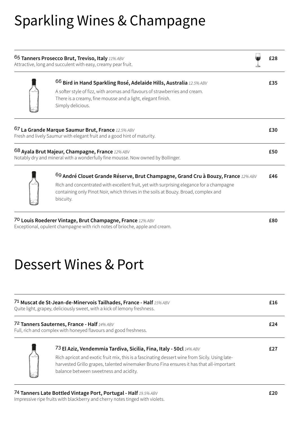## Sparkling Wines & Champagne

| <sup>65</sup> Tanners Prosecco Brut, Treviso, Italy $11\%$ ABV<br>Attractive, long and succulent with easy, creamy pear fruit. |                                                                                                                                                                                                                                                                                     | £28 |
|--------------------------------------------------------------------------------------------------------------------------------|-------------------------------------------------------------------------------------------------------------------------------------------------------------------------------------------------------------------------------------------------------------------------------------|-----|
|                                                                                                                                | <sup>66</sup> Bird in Hand Sparkling Rosé, Adelaide Hills, Australia 12.5% ABV<br>A softer style of fizz, with aromas and flavours of strawberries and cream.<br>There is a creamy, fine mousse and a light, elegant finish.<br>Simply delicious.                                   | £35 |
|                                                                                                                                | $67$ La Grande Marque Saumur Brut, France 12.5% ABV<br>Fresh and lively Saumur with elegant fruit and a good hint of maturity.                                                                                                                                                      | £30 |
|                                                                                                                                | 68 Ayala Brut Majeur, Champagne, France 12% ABV<br>Notably dry and mineral with a wonderfully fine mousse. Now owned by Bollinger.                                                                                                                                                  | £50 |
|                                                                                                                                | $69$ André Clouet Grande Réserve, Brut Champagne, Grand Cru à Bouzy, France 12% ABV<br>Rich and concentrated with excellent fruit, yet with surprising elegance for a champagne<br>containing only Pinot Noir, which thrives in the soils at Bouzy. Broad, complex and<br>biscuity. | £46 |

70 **Louis Roederer Vintage, Brut Champagne, France** *12% ABV* **£80** Exceptional, opulent champagne with rich notes of brioche, apple and cream.

# Dessert Wines & Port

| 71 Muscat de St-Jean-de-Minervois Tailhades, France - Half 15% ABV<br>Quite light, grapey, deliciously sweet, with a kick of lemony freshness. |                                                                                                                                                                                                                                                                                                            | £16 |
|------------------------------------------------------------------------------------------------------------------------------------------------|------------------------------------------------------------------------------------------------------------------------------------------------------------------------------------------------------------------------------------------------------------------------------------------------------------|-----|
|                                                                                                                                                | 72 Tanners Sauternes, France - Half 14% ABV<br>Full, rich and complex with honeyed flavours and good freshness.                                                                                                                                                                                            | £24 |
|                                                                                                                                                | 73 El Aziz, Vendemmia Tardiva, Sicilia, Fina, Italy - 50cl 14% ABV<br>Rich apricot and exotic fruit mix, this is a fascinating dessert wine from Sicily. Using late-<br>harvested Grillo grapes, talented winemaker Bruno Fina ensures it has that all-important<br>balance between sweetness and acidity. | £27 |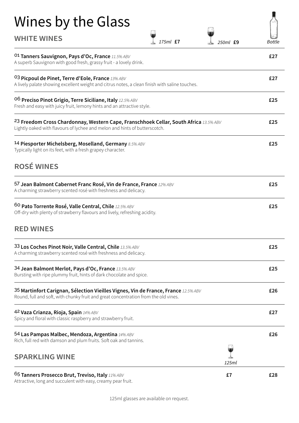| Wines by the Glass<br><b>WHITE WINES</b><br>175ml £7                                                                                                                           | <b>Bottle</b><br>$250ml$ £9 |
|--------------------------------------------------------------------------------------------------------------------------------------------------------------------------------|-----------------------------|
| <sup>01</sup> Tanners Sauvignon, Pays d'Oc, France 11.5% ABV<br>A superb Sauvignon with good fresh, grassy fruit - a lovely drink.                                             | £27                         |
| <sup>03</sup> Picpoul de Pinet, Terre d'Eole, France 13% ABV<br>A lively palate showing excellent weight and citrus notes, a clean finish with saline touches.                 | £27                         |
| O <sup>6</sup> Preciso Pinot Grigio, Terre Siciliane, Italy 12.5% ABV<br>Fresh and easy with juicy fruit, lemony hints and an attractive style.                                | £25                         |
| <sup>23</sup> Freedom Cross Chardonnay, Western Cape, Franschhoek Cellar, South Africa 13.5% ABV<br>Lightly oaked with flavours of lychee and melon and hints of butterscotch. | £25                         |
| 14 Piesporter Michelsberg, Moselland, Germany 8.5% ABV<br>Typically light on its feet, with a fresh grapey character.                                                          | £25                         |
| <b>ROSÉ WINES</b>                                                                                                                                                              |                             |
| 57 Jean Balmont Cabernet Franc Rosé, Vin de France, France 12% ABV<br>A charming strawberry scented rosé with freshness and delicacy.                                          | £25                         |
| 60 Pato Torrente Rosé, Valle Central, Chile 12.5% ABV<br>Off-dry with plenty of strawberry flavours and lively, refreshing acidity.                                            | £25                         |
| <b>RED WINES</b>                                                                                                                                                               |                             |
| 33 Los Coches Pinot Noir, Valle Central, Chile 13.5% ABV<br>A charming strawberry scented rosé with freshness and delicacy.                                                    | £25                         |
| 34 Jean Balmont Merlot, Pays d'Oc, France 13.5% ABV<br>Bursting with ripe plummy fruit, hints of dark chocolate and spice.                                                     | £25                         |
| 35 Martinfort Carignan, Sélection Vieilles Vignes, Vin de France, France 12.5% ABV<br>Round, full and soft, with chunky fruit and great concentration from the old vines.      | £26                         |
| 42 Vaza Crianza, Rioja, Spain 14% ABV<br>Spicy and floral with classic raspberry and strawberry fruit.                                                                         | £27                         |
| 54 Las Pampas Malbec, Mendoza, Argentina 14% ABV<br>Rich, full red with damson and plum fruits. Soft oak and tannins.                                                          | £26                         |
| <b>SPARKLING WINE</b>                                                                                                                                                          | 125ml                       |
| <sup>65</sup> Tanners Prosecco Brut, Treviso, Italy $11\%$ ABV                                                                                                                 | £7<br>£28                   |

Attractive, long and succulent with easy, creamy pear fruit.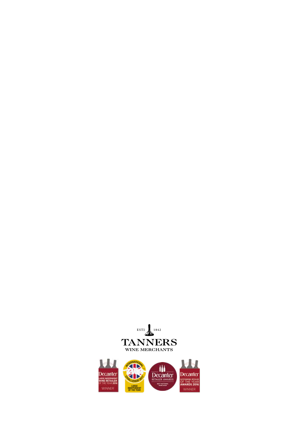